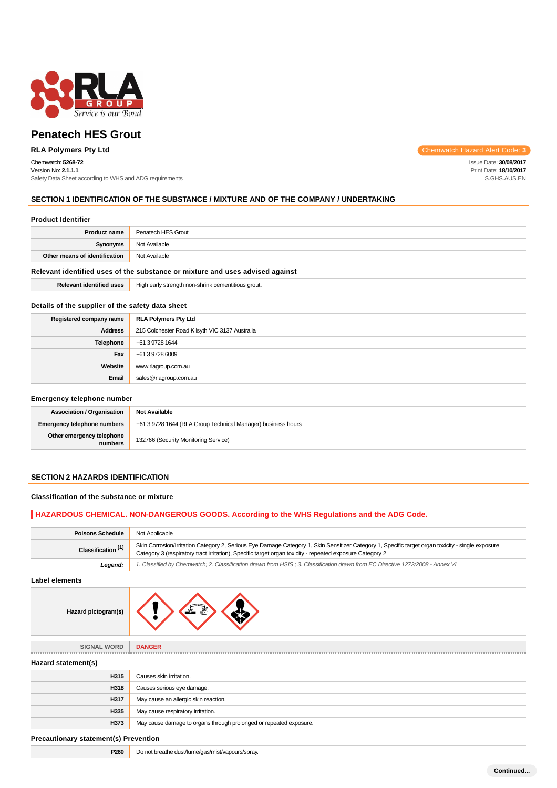

# Chemwatch: **5268-72**

Version No: **2.1.1.1** Safety Data Sheet according to WHS and ADG requirements

**RLA Polymers Pty Ltd** Chemwatch Hazard Alert Code: **3** 

Issue Date: **30/08/2017** Print Date: **18/10/2017** S.GHS.AUS.EN

# **SECTION 1 IDENTIFICATION OF THE SUBSTANCE / MIXTURE AND OF THE COMPANY / UNDERTAKING**

### **Product Identifier**

| <b>Product name</b>                                                           | Penatech HES Grout                                 |
|-------------------------------------------------------------------------------|----------------------------------------------------|
| Synonyms                                                                      | Not Available                                      |
| Other means of identification                                                 | Not Available                                      |
| Relevant identified uses of the substance or mixture and uses advised against |                                                    |
| <b>Relevant identified uses</b>                                               | High early strength non-shrink cementitious grout. |

# **Details of the supplier of the safety data sheet**

| Registered company name | <b>RLA Polymers Pty Ltd</b>                    |
|-------------------------|------------------------------------------------|
| <b>Address</b>          | 215 Colchester Road Kilsyth VIC 3137 Australia |
| Telephone               | +61 3 9728 1644                                |
| Fax                     | +61 3 9728 6009                                |
| Website                 | www.rlagroup.com.au                            |
| Email                   | sales@rlagroup.com.au                          |

### **Emergency telephone number**

| <b>Association / Organisation</b>    | <b>Not Available</b>                                         |
|--------------------------------------|--------------------------------------------------------------|
| <b>Emergency telephone numbers</b>   | +61 3 9728 1644 (RLA Group Technical Manager) business hours |
| Other emergency telephone<br>numbers | 132766 (Security Monitoring Service)                         |

# **SECTION 2 HAZARDS IDENTIFICATION**

# **Classification of the substance or mixture**

# **HAZARDOUS CHEMICAL. NON-DANGEROUS GOODS. According to the WHS Regulations and the ADG Code.**

| <b>Poisons Schedule</b>       | Not Applicable                                                                                                                                                                                                                                                |  |
|-------------------------------|---------------------------------------------------------------------------------------------------------------------------------------------------------------------------------------------------------------------------------------------------------------|--|
| Classification <sup>[1]</sup> | Skin Corrosion/Irritation Category 2, Serious Eye Damage Category 1, Skin Sensitizer Category 1, Specific target organ toxicity - single exposure<br>Category 3 (respiratory tract irritation), Specific target organ toxicity - repeated exposure Category 2 |  |
| Leaend:                       | 1. Classified by Chemwatch; 2. Classification drawn from HSIS; 3. Classification drawn from EC Directive 1272/2008 - Annex VI                                                                                                                                 |  |

**Label elements**

| n(s) |  | ≝ |  |
|------|--|---|--|
|------|--|---|--|

| <b>SIGNAL WORD</b>  | <b>DANGER</b>                                                      |  |
|---------------------|--------------------------------------------------------------------|--|
| Hazard statement(s) |                                                                    |  |
| H315                | Causes skin irritation.                                            |  |
| H318                | Causes serious eye damage.                                         |  |
| H317                | May cause an allergic skin reaction.                               |  |
| H335                | May cause respiratory irritation.                                  |  |
| H373                | May cause damage to organs through prolonged or repeated exposure. |  |
|                     |                                                                    |  |

**Precautionary statement(s) Prevention**

**Hazard pictogram** 

**P260** Do not breathe dust/fume/gas/mist/vapours/spray.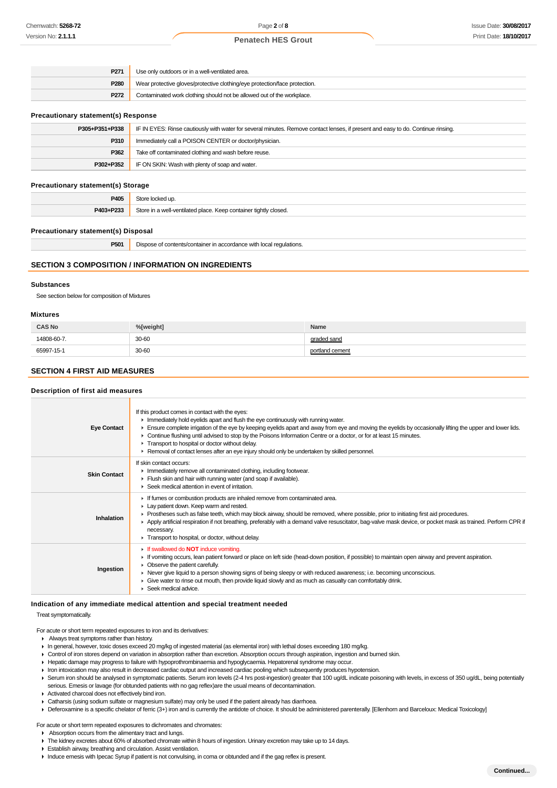| P271             | Use only outdoors or in a well-ventilated area.                            |  |
|------------------|----------------------------------------------------------------------------|--|
| P <sub>280</sub> | Wear protective gloves/protective clothing/eye protection/face protection. |  |
| P <sub>272</sub> | Contaminated work clothing should not be allowed out of the workplace.     |  |

### **Precautionary statement(s) Response**

| P305+P351+P338 | IF IN EYES: Rinse cautiously with water for several minutes. Remove contact lenses, if present and easy to do. Continue rinsing. |  |
|----------------|----------------------------------------------------------------------------------------------------------------------------------|--|
| P310           | Immediately call a POISON CENTER or doctor/physician.                                                                            |  |
| P362           | Take off contaminated clothing and wash before reuse.                                                                            |  |
| P302+P352      | IF ON SKIN: Wash with plenty of soap and water.                                                                                  |  |

### **Precautionary statement(s) Storage**

| <b>DAN</b>       |                                                                       |
|------------------|-----------------------------------------------------------------------|
| <b>DA03+D233</b> | Store ir<br>n a well-ventilated place. Keep container tightly closed. |

# **Precautionary statement(s) Disposal**

| P501 | Dispose of contents/container in accordance with local regulations. |
|------|---------------------------------------------------------------------|
|------|---------------------------------------------------------------------|

# **SECTION 3 COMPOSITION / INFORMATION ON INGREDIENTS**

### **Substances**

See section below for composition of Mixtures

#### **Mixtures**

| <b>CAS No</b> | %[weight]  | Name        |
|---------------|------------|-------------|
| 14808-60-7    | 30-60      | araded sand |
| 65997-15-1    | 30-60<br>. | l cement    |

### **SECTION 4 FIRST AID MEASURES**

#### **Description of first aid measures**

| <b>Eye Contact</b>  | If this product comes in contact with the eyes:<br>Inmediately hold eyelids apart and flush the eye continuously with running water.<br>Ensure complete irrigation of the eye by keeping eyelids apart and away from eye and moving the eyelids by occasionally lifting the upper and lower lids.<br>► Continue flushing until advised to stop by the Poisons Information Centre or a doctor, or for at least 15 minutes.<br>Transport to hospital or doctor without delay.<br>▶ Removal of contact lenses after an eye injury should only be undertaken by skilled personnel. |
|---------------------|--------------------------------------------------------------------------------------------------------------------------------------------------------------------------------------------------------------------------------------------------------------------------------------------------------------------------------------------------------------------------------------------------------------------------------------------------------------------------------------------------------------------------------------------------------------------------------|
| <b>Skin Contact</b> | If skin contact occurs:<br>Inmediately remove all contaminated clothing, including footwear.<br>Flush skin and hair with running water (and soap if available).<br>▶ Seek medical attention in event of irritation.                                                                                                                                                                                                                                                                                                                                                            |
| Inhalation          | If fumes or combustion products are inhaled remove from contaminated area.<br>Lay patient down. Keep warm and rested.<br>► Prostheses such as false teeth, which may block airway, should be removed, where possible, prior to initiating first aid procedures.<br>▶ Apply artificial respiration if not breathing, preferably with a demand valve resuscitator, bag-valve mask device, or pocket mask as trained. Perform CPR if<br>necessary.<br>Transport to hospital, or doctor, without delay.                                                                            |
| Ingestion           | <b>If swallowed do NOT induce vomiting.</b><br>► If vomiting occurs, lean patient forward or place on left side (head-down position, if possible) to maintain open airway and prevent aspiration.<br>• Observe the patient carefully.<br>► Never give liquid to a person showing signs of being sleepy or with reduced awareness; i.e. becoming unconscious.<br>• Give water to rinse out mouth, then provide liquid slowly and as much as casualty can comfortably drink.<br>$\blacktriangleright$ Seek medical advice.                                                       |

### **Indication of any immediate medical attention and special treatment needed**

### Treat symptomatically.

For acute or short term repeated exposures to iron and its derivatives:

- Always treat symptoms rather than history.
- In general, however, toxic doses exceed 20 mg/kg of ingested material (as elemental iron) with lethal doses exceeding 180 mg/kg.
- Control of iron stores depend on variation in absorption rather than excretion. Absorption occurs through aspiration, ingestion and burned skin.
- Hepatic damage may progress to failure with hypoprothrombinaemia and hypoglycaemia. Hepatorenal syndrome may occur.
- If iron intoxication may also result in decreased cardiac output and increased cardiac pooling which subsequently produces hypotension.
- Serum iron should be analysed in symptomatic patients. Serum iron levels (2-4 hrs post-ingestion) greater that 100 ug/dL indicate poisoning with levels, in excess of 350 ug/dL, being potentially serious. Emesis or lavage (for obtunded patients with no gag reflex)are the usual means of decontamination.
- Activated charcoal does not effectively bind iron.
- Catharsis (using sodium sulfate or magnesium sulfate) may only be used if the patient already has diarrhoea.
- ▶ Deferoxamine is a specific chelator of ferric (3+) iron and is currently the antidote of choice. It should be administered parenterally. [Ellenhorn and Barceloux: Medical Toxicology]

For acute or short term repeated exposures to dichromates and chromates:

- Absorption occurs from the alimentary tract and lungs.
- The kidney excretes about 60% of absorbed chromate within 8 hours of ingestion. Urinary excretion may take up to 14 days.
- Establish airway, breathing and circulation. Assist ventilation.
- Induce emesis with Ipecac Syrup if patient is not convulsing, in coma or obtunded and if the gag reflex is present.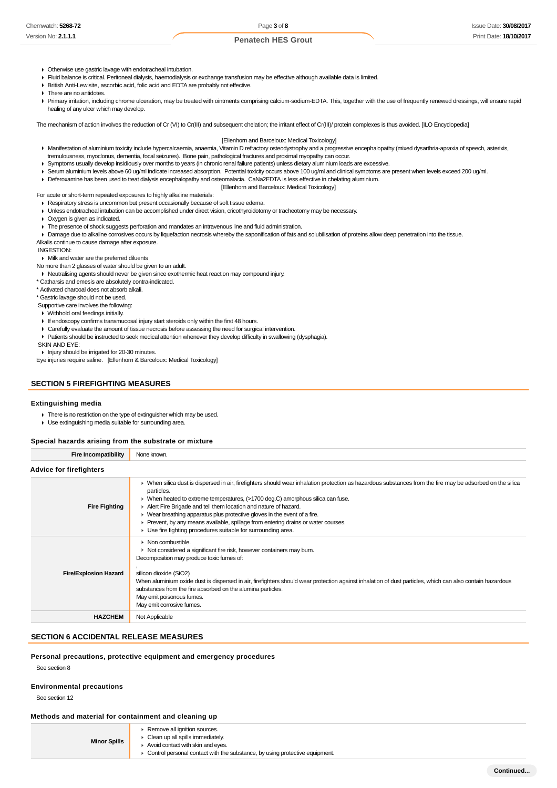- Otherwise use gastric lavage with endotracheal intubation.
- Fluid balance is critical. Peritoneal dialysis, haemodialysis or exchange transfusion may be effective although available data is limited.
- British Anti-Lewisite, ascorbic acid, folic acid and EDTA are probably not effective.
- **There are no antidotes.**

Primary irritation, including chrome ulceration, may be treated with ointments comprising calcium-sodium-EDTA. This, together with the use of frequently renewed dressings, will ensure rapid healing of any ulcer which may develop.

The mechanism of action involves the reduction of Cr (VI) to Cr(III) and subsequent chelation; the irritant effect of Cr(III)/ protein complexes is thus avoided. [ILO Encyclopedia]

### [Ellenhorn and Barceloux: Medical Toxicology]

- Manifestation of aluminium toxicity include hypercalcaemia, anaemia, Vitamin D refractory osteodystrophy and a progressive encephalopathy (mixed dysarthria-apraxia of speech, asterixis, tremulousness, myoclonus, dementia, focal seizures). Bone pain, pathological fractures and proximal myopathy can occur.
- Symptoms usually develop insidiously over months to years (in chronic renal failure patients) unless dietary aluminium loads are excessive.
- ▶ Serum aluminium levels above 60 ug/ml indicate increased absorption. Potential toxicity occurs above 100 ug/ml and clinical symptoms are present when levels exceed 200 ug/ml.
- Deferoxamine has been used to treat dialysis encephalopathy and osteomalacia. CaNa2EDTA is less effective in chelating aluminium.

[Ellenhorn and Barceloux: Medical Toxicology]

- For acute or short-term repeated exposures to highly alkaline materials: Respiratory stress is uncommon but present occasionally because of soft tissue edema.
- Unless endotracheal intubation can be accomplished under direct vision, cricothyroidotomy or tracheotomy may be necessary.
- Oxygen is given as indicated.
- The presence of shock suggests perforation and mandates an intravenous line and fluid administration.
- Damage due to alkaline corrosives occurs by liquefaction necrosis whereby the saponification of fats and solubilisation of proteins allow deep penetration into the tissue.
- Alkalis continue to cause damage after exposure.

INGESTION:

# Milk and water are the preferred diluents

No more than 2 glasses of water should be given to an adult.

- Neutralising agents should never be given since exothermic heat reaction may compound injury.
- \* Catharsis and emesis are absolutely contra-indicated.

\* Activated charcoal does not absorb alkali.

\* Gastric lavage should not be used.

Supportive care involves the following:

Withhold oral feedings initially.

- If endoscopy confirms transmucosal injury start steroids only within the first 48 hours.
- Carefully evaluate the amount of tissue necrosis before assessing the need for surgical intervention.
- Patients should be instructed to seek medical attention whenever they develop difficulty in swallowing (dysphagia).

SKIN AND EYE:

Injury should be irrigated for 20-30 minutes.

Eye injuries require saline. [Ellenhorn & Barceloux: Medical Toxicology]

# **SECTION 5 FIREFIGHTING MEASURES**

# **Extinguishing media**

- There is no restriction on the type of extinguisher which may be used.
- Use extinguishing media suitable for surrounding area.

### **Special hazards arising from the substrate or mixture**

**Fire Incompatibility** None known.

| <b>Advice for firefighters</b> |                                                                                                                                                                                                                                                                                                                                                                                                                                                                                                                                                                                   |
|--------------------------------|-----------------------------------------------------------------------------------------------------------------------------------------------------------------------------------------------------------------------------------------------------------------------------------------------------------------------------------------------------------------------------------------------------------------------------------------------------------------------------------------------------------------------------------------------------------------------------------|
| <b>Fire Fighting</b>           | • When silica dust is dispersed in air, firefighters should wear inhalation protection as hazardous substances from the fire may be adsorbed on the silica<br>particles.<br>► When heated to extreme temperatures, (>1700 deg.C) amorphous silica can fuse.<br>Alert Fire Brigade and tell them location and nature of hazard.<br>$\triangleright$ Wear breathing apparatus plus protective gloves in the event of a fire.<br>► Prevent, by any means available, spillage from entering drains or water courses.<br>► Use fire fighting procedures suitable for surrounding area. |
| <b>Fire/Explosion Hazard</b>   | $\triangleright$ Non combustible.<br>• Not considered a significant fire risk, however containers may burn.<br>Decomposition may produce toxic fumes of:<br>silicon dioxide (SiO2)<br>When aluminium oxide dust is dispersed in air, firefighters should wear protection against inhalation of dust particles, which can also contain hazardous<br>substances from the fire absorbed on the alumina particles.<br>May emit poisonous fumes.<br>May emit corrosive fumes.                                                                                                          |
| <b>HAZCHEM</b>                 | Not Applicable                                                                                                                                                                                                                                                                                                                                                                                                                                                                                                                                                                    |

# **SECTION 6 ACCIDENTAL RELEASE MEASURES**

**Personal precautions, protective equipment and emergency procedures**

See section 8

### **Environmental precautions**

See section 12

### **Methods and material for containment and cleaning up**

| <b>Minor Spills</b> | Remove all ignition sources.<br>Clean up all spills immediately.                                                 |
|---------------------|------------------------------------------------------------------------------------------------------------------|
|                     | Avoid contact with skin and eves.<br>Control personal contact with the substance, by using protective equipment. |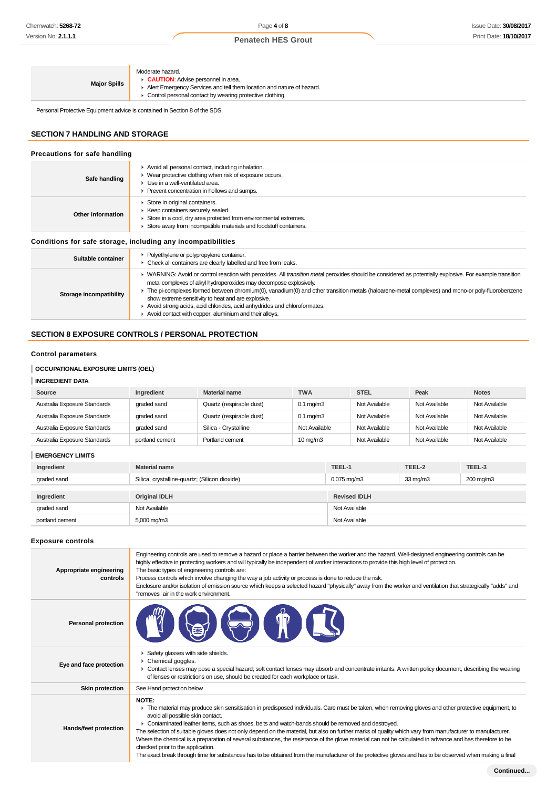| <b>Major Spills</b> | Moderate hazard.<br>CAUTION: Advise personnel in area.<br>Alert Emergency Services and tell them location and nature of hazard.<br>• Control personal contact by wearing protective clothing. |
|---------------------|-----------------------------------------------------------------------------------------------------------------------------------------------------------------------------------------------|
|                     |                                                                                                                                                                                               |

Personal Protective Equipment advice is contained in Section 8 of the SDS.

# **SECTION 7 HANDLING AND STORAGE**

| Precautions for safe handling |                                                                                                                                                                                                                                                                                                                                                                                                                                                                                                                                                                                  |
|-------------------------------|----------------------------------------------------------------------------------------------------------------------------------------------------------------------------------------------------------------------------------------------------------------------------------------------------------------------------------------------------------------------------------------------------------------------------------------------------------------------------------------------------------------------------------------------------------------------------------|
| Safe handling                 | Avoid all personal contact, including inhalation.<br>• Wear protective clothing when risk of exposure occurs.<br>$\blacktriangleright$ Use in a well-ventilated area.<br>▶ Prevent concentration in hollows and sumps.                                                                                                                                                                                                                                                                                                                                                           |
| Other information             | Store in original containers.<br>▶ Keep containers securely sealed.<br>Store in a cool, dry area protected from environmental extremes.<br>Store away from incompatible materials and foodstuff containers.                                                                                                                                                                                                                                                                                                                                                                      |
|                               | Conditions for safe storage, including any incompatibilities                                                                                                                                                                                                                                                                                                                                                                                                                                                                                                                     |
| Suitable container            | • Polyethylene or polypropylene container.<br>• Check all containers are clearly labelled and free from leaks.                                                                                                                                                                                                                                                                                                                                                                                                                                                                   |
| Storage incompatibility       | ▶ WARNING: Avoid or control reaction with peroxides. All transition metal peroxides should be considered as potentially explosive. For example transition<br>metal complexes of alkyl hydroperoxides may decompose explosively.<br>► The pi-complexes formed between chromium(0), vanadium(0) and other transition metals (haloarene-metal complexes) and mono-or poly-fluorobenzene<br>show extreme sensitivity to heat and are explosive.<br>Avoid strong acids, acid chlorides, acid anhydrides and chloroformates.<br>Avoid contact with copper, aluminium and their alloys. |

# **SECTION 8 EXPOSURE CONTROLS / PERSONAL PROTECTION**

# **Control parameters**

# **OCCUPATIONAL EXPOSURE LIMITS (OEL)**

# **INGREDIENT DATA**

| Source                       | Ingredient      | <b>Material name</b>     | <b>TWA</b>           | <b>STEL</b>   | Peak          | <b>Notes</b>  |
|------------------------------|-----------------|--------------------------|----------------------|---------------|---------------|---------------|
| Australia Exposure Standards | graded sand     | Quartz (respirable dust) | $0.1 \text{ mg/m}$ 3 | Not Available | Not Available | Not Available |
| Australia Exposure Standards | graded sand     | Quartz (respirable dust) | $0.1 \text{ ma/m}$ 3 | Not Available | Not Available | Not Available |
| Australia Exposure Standards | graded sand     | Silica - Crystalline     | Not Available        | Not Available | Not Available | Not Available |
| Australia Exposure Standards | portland cement | Portland cement          | $10 \text{ mg/m}$    | Not Available | Not Available | Not Available |

**EMERGENCY LIMITS**

| Ingredient      | <b>Material name</b>                                                      | TEEL-1<br>TEEL-3<br>TEEL-2 |                   |           |
|-----------------|---------------------------------------------------------------------------|----------------------------|-------------------|-----------|
| graded sand     | Silica, crystalline-quartz; (Silicon dioxide)<br>$0.075 \,\mathrm{mq/m3}$ |                            | $33 \text{ mg/m}$ | 200 mg/m3 |
|                 |                                                                           |                            |                   |           |
| Ingredient      | <b>Original IDLH</b>                                                      | <b>Revised IDLH</b>        |                   |           |
| graded sand     | Not Available                                                             | Not Available              |                   |           |
| portland cement | 5,000 mg/m3                                                               | Not Available              |                   |           |

# **Exposure controls**

| Appropriate engineering<br>controls | Engineering controls are used to remove a hazard or place a barrier between the worker and the hazard. Well-designed engineering controls can be<br>highly effective in protecting workers and will typically be independent of worker interactions to provide this high level of protection.<br>The basic types of engineering controls are:<br>Process controls which involve changing the way a job activity or process is done to reduce the risk.<br>Enclosure and/or isolation of emission source which keeps a selected hazard "physically" away from the worker and ventilation that strategically "adds" and<br>"removes" air in the work environment.                                                                                                                                                                   |
|-------------------------------------|-----------------------------------------------------------------------------------------------------------------------------------------------------------------------------------------------------------------------------------------------------------------------------------------------------------------------------------------------------------------------------------------------------------------------------------------------------------------------------------------------------------------------------------------------------------------------------------------------------------------------------------------------------------------------------------------------------------------------------------------------------------------------------------------------------------------------------------|
| <b>Personal protection</b>          |                                                                                                                                                                                                                                                                                                                                                                                                                                                                                                                                                                                                                                                                                                                                                                                                                                   |
| Eye and face protection             | Safety glasses with side shields.<br>Chemical goggles.<br>• Contact lenses may pose a special hazard; soft contact lenses may absorb and concentrate irritants. A written policy document, describing the wearing<br>of lenses or restrictions on use, should be created for each workplace or task.                                                                                                                                                                                                                                                                                                                                                                                                                                                                                                                              |
| <b>Skin protection</b>              | See Hand protection below                                                                                                                                                                                                                                                                                                                                                                                                                                                                                                                                                                                                                                                                                                                                                                                                         |
| Hands/feet protection               | NOTE:<br>The material may produce skin sensitisation in predisposed individuals. Care must be taken, when removing gloves and other protective equipment, to<br>avoid all possible skin contact.<br>► Contaminated leather items, such as shoes, belts and watch-bands should be removed and destroyed.<br>The selection of suitable gloves does not only depend on the material, but also on further marks of quality which vary from manufacturer to manufacturer.<br>Where the chemical is a preparation of several substances, the resistance of the glove material can not be calculated in advance and has therefore to be<br>checked prior to the application.<br>The exact break through time for substances has to be obtained from the manufacturer of the protective gloves and has to be observed when making a final |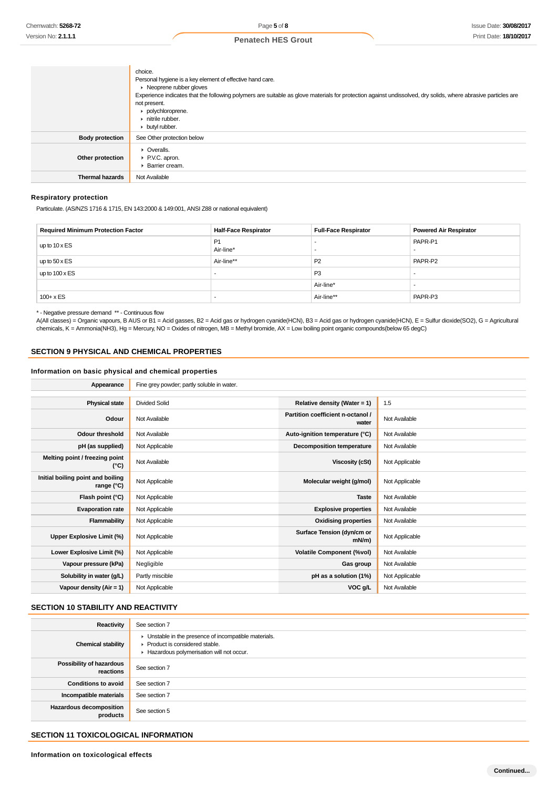|                        | choice.<br>Personal hygiene is a key element of effective hand care.<br>• Neoprene rubber gloves<br>Experience indicates that the following polymers are suitable as glove materials for protection against undissolved, dry solids, where abrasive particles are<br>not present.<br>polychloroprene.<br>nitrile rubber.<br>butyl rubber. |
|------------------------|-------------------------------------------------------------------------------------------------------------------------------------------------------------------------------------------------------------------------------------------------------------------------------------------------------------------------------------------|
| <b>Body protection</b> | See Other protection below                                                                                                                                                                                                                                                                                                                |
| Other protection       | $\triangleright$ Overalls.<br>P.V.C. apron.<br>▶ Barrier cream.                                                                                                                                                                                                                                                                           |
| <b>Thermal hazards</b> | Not Available                                                                                                                                                                                                                                                                                                                             |

# **Respiratory protection**

Particulate. (AS/NZS 1716 & 1715, EN 143:2000 & 149:001, ANSI Z88 or national equivalent)

| <b>Required Minimum Protection Factor</b> | <b>Half-Face Respirator</b> | <b>Full-Face Respirator</b> | <b>Powered Air Respirator</b> |
|-------------------------------------------|-----------------------------|-----------------------------|-------------------------------|
| up to $10 \times ES$                      | P <sub>1</sub><br>Air-line* |                             | PAPR-P1<br>                   |
| up to $50 \times ES$                      | Air-line**                  | P <sub>2</sub>              | PAPR-P2                       |
| up to $100 \times ES$                     |                             | P <sub>3</sub>              |                               |
|                                           |                             | Air-line*                   | -                             |
| $100 + x ES$                              |                             | Air-line**                  | PAPR-P3                       |

\* - Negative pressure demand \*\* - Continuous flow

A(All classes) = Organic vapours, B AUS or B1 = Acid gasses, B2 = Acid gas or hydrogen cyanide(HCN), B3 = Acid gas or hydrogen cyanide(HCN), E = Sulfur dioxide(SO2), G = Agricultural chemicals, K = Ammonia(NH3), Hg = Mercury, NO = Oxides of nitrogen, MB = Methyl bromide, AX = Low boiling point organic compounds(below 65 degC)

# **SECTION 9 PHYSICAL AND CHEMICAL PROPERTIES**

# **Information on basic physical and chemical properties**

| Appearance                                      | Fine grey powder; partly soluble in water. |                                            |                |  |  |
|-------------------------------------------------|--------------------------------------------|--------------------------------------------|----------------|--|--|
|                                                 |                                            |                                            |                |  |  |
| <b>Physical state</b>                           | <b>Divided Solid</b>                       | Relative density (Water = 1)               | 1.5            |  |  |
| Odour                                           | Not Available                              | Partition coefficient n-octanol /<br>water | Not Available  |  |  |
| <b>Odour threshold</b>                          | Not Available                              | Auto-ignition temperature (°C)             | Not Available  |  |  |
| pH (as supplied)                                | Not Applicable                             | <b>Decomposition temperature</b>           | Not Available  |  |  |
| Melting point / freezing point<br>(°C)          | Not Available                              | Viscosity (cSt)                            | Not Applicable |  |  |
| Initial boiling point and boiling<br>range (°C) | Not Applicable                             | Molecular weight (g/mol)                   | Not Applicable |  |  |
| Flash point (°C)                                | Not Applicable                             | <b>Taste</b>                               | Not Available  |  |  |
| <b>Evaporation rate</b>                         | Not Applicable                             | <b>Explosive properties</b>                | Not Available  |  |  |
| Flammability                                    | Not Applicable                             | <b>Oxidising properties</b>                | Not Available  |  |  |
| Upper Explosive Limit (%)                       | Not Applicable                             | Surface Tension (dyn/cm or<br>$mN/m$ )     | Not Applicable |  |  |
| Lower Explosive Limit (%)                       | Not Applicable                             | <b>Volatile Component (%vol)</b>           | Not Available  |  |  |
| Vapour pressure (kPa)                           | Negligible                                 | Gas group                                  | Not Available  |  |  |
| Solubility in water (g/L)                       | Partly miscible                            | pH as a solution (1%)                      | Not Applicable |  |  |
| Vapour density $(Air = 1)$                      | Not Applicable                             | VOC g/L                                    | Not Available  |  |  |

# **SECTION 10 STABILITY AND REACTIVITY**

| Reactivity                                   | See section 7                                                                                                                        |
|----------------------------------------------|--------------------------------------------------------------------------------------------------------------------------------------|
| <b>Chemical stability</b>                    | • Unstable in the presence of incompatible materials.<br>▶ Product is considered stable.<br>Hazardous polymerisation will not occur. |
| <b>Possibility of hazardous</b><br>reactions | See section 7                                                                                                                        |
| <b>Conditions to avoid</b>                   | See section 7                                                                                                                        |
| Incompatible materials                       | See section 7                                                                                                                        |
| <b>Hazardous decomposition</b><br>products   | See section 5                                                                                                                        |

# **SECTION 11 TOXICOLOGICAL INFORMATION**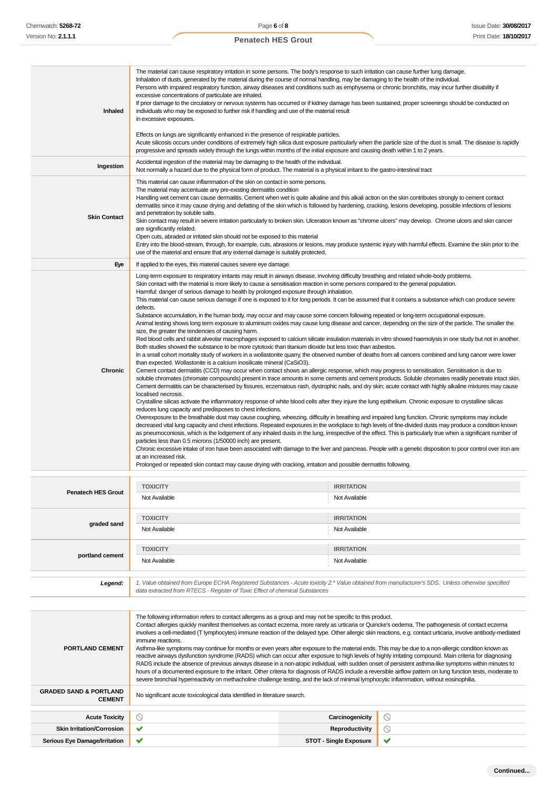**Inhaled** The material can cause respiratory irritation in some persons. The body's response to such irritation can cause further lung damage. Inhalation of dusts, generated by the material during the course of normal handling, may be damaging to the health of the individual. Persons with impaired respiratory function, airway diseases and conditions such as emphysema or chronic bronchitis, may incur further disability if excessive concentrations of particulate are inhaled. If prior damage to the circulatory or nervous systems has occurred or if kidney damage has been sustained, proper screenings should be conducted on individuals who may be exposed to further risk if handling and use of the material result in excessive exposures. Effects on lungs are significantly enhanced in the presence of respirable particles. Acute silicosis occurs under conditions of extremely high silica dust exposure particularly when the particle size of the dust is small. The disease is rapidly progressive and spreads widely through the lungs within months of the initial exposure and causing death within 1 to 2 years. **Ingestion** Accidental ingestion of the material may be damaging to the health of the individual. Not normally a hazard due to the physical form of product. The material is a physical irritant to the gastro-intestinal tract **Skin Contact** This material can cause inflammation of the skin on contact in some persons. The material may accentuate any pre-existing dermatitis condition Handling wet cement can cause dermatitis. Cement when wet is quite alkaline and this alkali action on the skin contributes strongly to cement contact dermatitis since it may cause drying and defatting of the skin which is followed by hardening, cracking, lesions developing, possible infections of lesions and penetration by soluble salts. Skin contact may result in severe irritation particularly to broken skin. Ulceration known as "chrome ulcers" may develop. Chrome ulcers and skin cancer are significantly related. Open cuts, abraded or irritated skin should not be exposed to this material Entry into the blood-stream, through, for example, cuts, abrasions or lesions, may produce systemic injury with harmful effects. Examine the skin prior to the use of the material and ensure that any external damage is suitably protected. **Eye** If applied to the eyes, this material causes severe eye damage. **Chronic** Long-term exposure to respiratory irritants may result in airways disease, involving difficulty breathing and related whole-body problems. Skin contact with the material is more likely to cause a sensitisation reaction in some persons compared to the general population. Harmful: danger of serious damage to health by prolonged exposure through inhalation. This material can cause serious damage if one is exposed to it for long periods. It can be assumed that it contains a substance which can produce severe defects. Substance accumulation, in the human body, may occur and may cause some concern following repeated or long-term occupational exposure. Animal testing shows long term exposure to aluminium oxides may cause lung disease and cancer, depending on the size of the particle. The smaller the size, the greater the tendencies of causing harm. Red blood cells and rabbit alveolar macrophages exposed to calcium silicate insulation materials in vitro showed haemolysis in one study but not in another. Both studies showed the substance to be more cytotoxic than titanium dioxide but less toxic than asbestos. In a small cohort mortality study of workers in a wollastonite quarry, the observed number of deaths from all cancers combined and lung cancer were lower than expected. Wollastonite is a calcium inosilicate mineral (CaSiO3). Cement contact dermatitis (CCD) may occur when contact shows an allergic response, which may progress to sensitisation. Sensitisation is due to soluble chromates (chromate compounds) present in trace amounts in some cements and cement products. Soluble chromates readily penetrate intact skin. Cement dermatitis can be characterised by fissures, eczematous rash, dystrophic nails, and dry skin; acute contact with highly alkaline mixtures may cause localised necrosis. Crystalline silicas activate the inflammatory response of white blood cells after they injure the lung epithelium. Chronic exposure to crystalline silicas reduces lung capacity and predisposes to chest infections. Overexposure to the breathable dust may cause coughing, wheezing, difficulty in breathing and impaired lung function. Chronic symptoms may include decreased vital lung capacity and chest infections. Repeated exposures in the workplace to high levels of fine-divided dusts may produce a condition known as pneumoconiosis, which is the lodgement of any inhaled dusts in the lung, irrespective of the effect. This is particularly true when a significant number of particles less than 0.5 microns (1/50000 inch) are present. Chronic excessive intake of iron have been associated with damage to the liver and pancreas. People with a genetic disposition to poor control over iron are at an increased risk. Prolonged or repeated skin contact may cause drying with cracking, irritation and possible dermatitis following. **Penatech HES Grout TOXICITY IRRITATION** Not Available Not Available **graded sand TOXICITY IRRITATION** Not Available Not Available **portland cement TOXICITY IRRITATION** Not Available Not Available Not Available Not Available Not Available Not Available **Legend:** 1. Value obtained from Europe ECHA Registered Substances - Acute toxicity 2.\* Value obtained from manufacturer's SDS. Unless otherwise specified data extracted from RTECS - Register of Toxic Effect of chemical Substances **PORTLAND CEMENT** The following information refers to contact allergens as a group and may not be specific to this product. Contact allergies quickly manifest themselves as contact eczema, more rarely as urticaria or Quincke's oedema. The pathogenesis of contact eczema involves a cell-mediated (T lymphocytes) immune reaction of the delayed type. Other allergic skin reactions, e.g. contact urticaria, involve antibody-mediated immune reactions. Asthma-like symptoms may continue for months or even years after exposure to the material ends. This may be due to a non-allergic condition known as reactive airways dysfunction syndrome (RADS) which can occur after exposure to high levels of highly irritating compound. Main criteria for diagnosing RADS include the absence of previous airways disease in a non-atopic individual, with sudden onset of persistent asthma-like symptoms within minutes to hours of a documented exposure to the irritant. Other criteria for diagnosis of RADS include a reversible airflow pattern on lung function tests, moderate to severe bronchial hyperreactivity on methacholine challenge testing, and the lack of minimal lymphocytic inflammation, without eosinophilia. **GRADED SAND & PORTLAND** No significant acute toxicological data identified in literature search.

**Acute Toxicity Carcinogenicity**  $\varnothing$ **Skin Irritation/Corrosion Reproductivity**  $\circ$ **Serious Eye Damage/Irritation STOT - Single Exposure**  $\checkmark$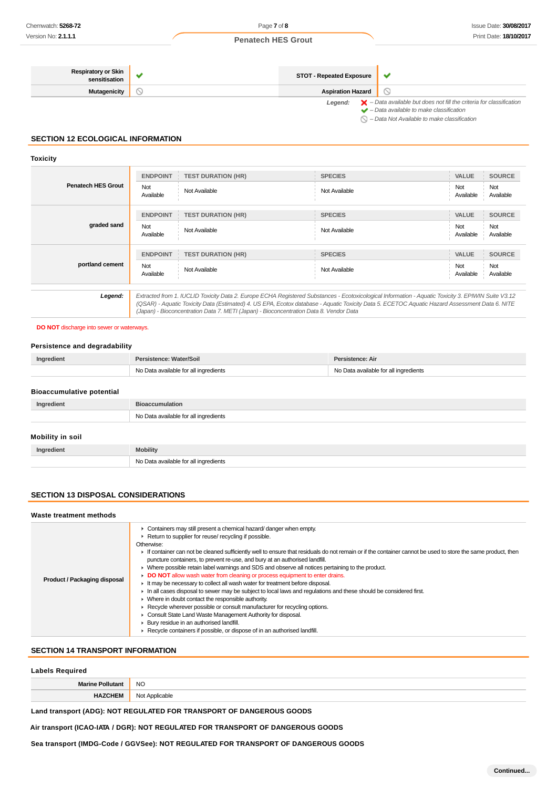| <b>Respiratory or Skin</b><br>sensitisation | <b>STOT - Repeated Exposure</b> | v                                                                                                                                                                                                                   |  |
|---------------------------------------------|---------------------------------|---------------------------------------------------------------------------------------------------------------------------------------------------------------------------------------------------------------------|--|
| Mutagenicity                                | <b>Aspiration Hazard</b>        |                                                                                                                                                                                                                     |  |
|                                             | Legend:                         | $\blacktriangleright$ - Data available but does not fill the criteria for classification<br>$\blacktriangleright$ - Data available to make classification<br>$\bigcirc$ - Data Not Available to make classification |  |

# **SECTION 12 ECOLOGICAL INFORMATION**

# **Toxicity**

| <b>Penatech HES Grout</b> | <b>ENDPOINT</b>  | <b>TEST DURATION (HR)</b>                                                                                                                                                                                                                                                                                                                                                                       | <b>SPECIES</b> | <b>VALUE</b>     | <b>SOURCE</b>    |
|---------------------------|------------------|-------------------------------------------------------------------------------------------------------------------------------------------------------------------------------------------------------------------------------------------------------------------------------------------------------------------------------------------------------------------------------------------------|----------------|------------------|------------------|
|                           | Not<br>Available | Not Available                                                                                                                                                                                                                                                                                                                                                                                   | Not Available  | Not<br>Available | Not<br>Available |
|                           | <b>ENDPOINT</b>  | <b>TEST DURATION (HR)</b>                                                                                                                                                                                                                                                                                                                                                                       | <b>SPECIES</b> | <b>VALUE</b>     | <b>SOURCE</b>    |
| graded sand               | Not<br>Available | Not Available                                                                                                                                                                                                                                                                                                                                                                                   | Not Available  | Not<br>Available | Not<br>Available |
|                           | <b>ENDPOINT</b>  | <b>TEST DURATION (HR)</b>                                                                                                                                                                                                                                                                                                                                                                       | <b>SPECIES</b> | <b>VALUE</b>     | <b>SOURCE</b>    |
| portland cement           | Not<br>Available | Not Available                                                                                                                                                                                                                                                                                                                                                                                   | Not Available  | Not<br>Available | Not<br>Available |
|                           |                  |                                                                                                                                                                                                                                                                                                                                                                                                 |                |                  |                  |
| Legend:                   |                  | Extracted from 1. IUCLID Toxicity Data 2. Europe ECHA Registered Substances - Ecotoxicological Information - Aquatic Toxicity 3. EPIWIN Suite V3.12<br>(QSAR) - Aquatic Toxicity Data (Estimated) 4. US EPA, Ecotox database - Aquatic Toxicity Data 5. ECETOC Aquatic Hazard Assessment Data 6. NITE<br>(Japan) - Bioconcentration Data 7. METI (Japan) - Bioconcentration Data 8. Vendor Data |                |                  |                  |

### **DO NOT** discharge into sewer or waterways.

# **Persistence and degradability**

| Ingredient | Persistence: Water/Soil               | istence: Air                          |
|------------|---------------------------------------|---------------------------------------|
|            | No Data available for all ingredients | No Data available for all ingredients |

### **Bioaccumulative potential**

| Ingredient       | <b>Bioaccumulation</b>                |  |  |
|------------------|---------------------------------------|--|--|
|                  | No Data available for all ingredients |  |  |
| Mobility in soil |                                       |  |  |
| Ingredient       | <b>Mobility</b>                       |  |  |

# **SECTION 13 DISPOSAL CONSIDERATIONS**

### **Waste treatment methods**

# **SECTION 14 TRANSPORT INFORMATION**

# **Labels Required**

| __________     |                     |  |
|----------------|---------------------|--|
| Marino Polli   | <b>NO</b>           |  |
| <b>HAZCHEM</b> | Applicable<br>Not , |  |

**Land transport (ADG): NOT REGULATED FOR TRANSPORT OF DANGEROUS GOODS**

**Air transport (ICAO-IATA / DGR): NOT REGULATED FOR TRANSPORT OF DANGEROUS GOODS**

No Data available for all ingredients

**Sea transport (IMDG-Code / GGVSee): NOT REGULATED FOR TRANSPORT OF DANGEROUS GOODS**